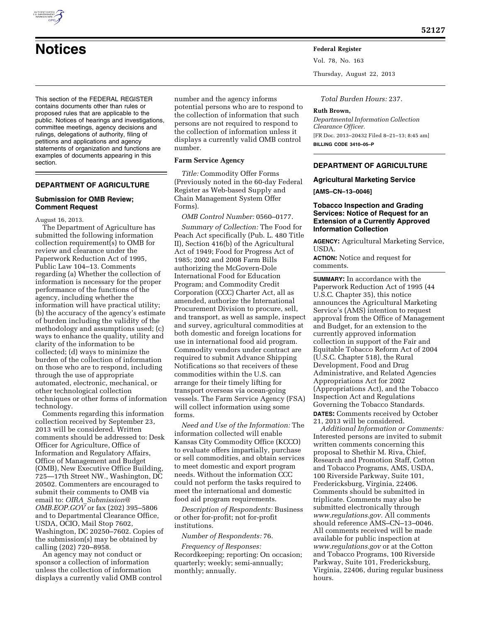

# **Notices Federal Register**

This section of the FEDERAL REGISTER contains documents other than rules or proposed rules that are applicable to the public. Notices of hearings and investigations, committee meetings, agency decisions and rulings, delegations of authority, filing of petitions and applications and agency statements of organization and functions are examples of documents appearing in this section.

## **DEPARTMENT OF AGRICULTURE**

### **Submission for OMB Review; Comment Request**

August 16, 2013.

The Department of Agriculture has submitted the following information collection requirement(s) to OMB for review and clearance under the Paperwork Reduction Act of 1995, Public Law 104–13. Comments regarding (a) Whether the collection of information is necessary for the proper performance of the functions of the agency, including whether the information will have practical utility; (b) the accuracy of the agency's estimate of burden including the validity of the methodology and assumptions used; (c) ways to enhance the quality, utility and clarity of the information to be collected; (d) ways to minimize the burden of the collection of information on those who are to respond, including through the use of appropriate automated, electronic, mechanical, or other technological collection techniques or other forms of information technology.

Comments regarding this information collection received by September 23, 2013 will be considered. Written comments should be addressed to: Desk Officer for Agriculture, Office of Information and Regulatory Affairs, Office of Management and Budget (OMB), New Executive Office Building, 725—17th Street NW., Washington, DC 20502. Commenters are encouraged to submit their comments to OMB via email to: *OIRA*\_*[Submission@](mailto:OIRA_Submission@OMB.EOP.GOV) [OMB.EOP.GOV](mailto:OIRA_Submission@OMB.EOP.GOV)* or fax (202) 395–5806 and to Departmental Clearance Office, USDA, OCIO, Mail Stop 7602, Washington, DC 20250–7602. Copies of the submission(s) may be obtained by calling (202) 720–8958.

An agency may not conduct or sponsor a collection of information unless the collection of information displays a currently valid OMB control number and the agency informs potential persons who are to respond to the collection of information that such persons are not required to respond to the collection of information unless it displays a currently valid OMB control number.

## **Farm Service Agency**

*Title:* Commodity Offer Forms (Previously noted in the 60-day Federal Register as Web-based Supply and Chain Management System Offer Forms).

*OMB Control Number:* 0560–0177.

*Summary of Collection:* The Food for Peach Act specifically (Pub. L. 480 Title II), Section 416(b) of the Agricultural Act of 1949; Food for Progress Act of 1985; 2002 and 2008 Farm Bills authorizing the McGovern-Dole International Food for Education Program; and Commodity Credit Corporation (CCC) Charter Act, all as amended, authorize the International Procurement Division to procure, sell, and transport, as well as sample, inspect and survey, agricultural commodities at both domestic and foreign locations for use in international food aid program. Commodity vendors under contract are required to submit Advance Shipping Notifications so that receivers of these commodities within the U.S. can arrange for their timely lifting for transport overseas via ocean-going vessels. The Farm Service Agency (FSA) will collect information using some forms.

*Need and Use of the Information:* The information collected will enable Kansas City Commodity Office (KCCO) to evaluate offers impartially, purchase or sell commodities, and obtain services to meet domestic and export program needs. Without the information CCC could not perform the tasks required to meet the international and domestic food aid program requirements.

*Description of Respondents:* Business or other for-profit; not for-profit institutions.

*Number of Respondents:* 76.

*Frequency of Responses:*  Recordkeeping; reporting: On occasion; quarterly; weekly; semi-annually; monthly; annually.

Vol. 78, No. 163

Thursday, August 22, 2013

*Total Burden Hours:* 237.

#### **Ruth Brown,**

*Departmental Information Collection Clearance Officer.*  [FR Doc. 2013–20432 Filed 8–21–13; 8:45 am] **BILLING CODE 3410–05–P** 

## **DEPARTMENT OF AGRICULTURE**

**Agricultural Marketing Service** 

**[AMS–CN–13–0046]** 

## **Tobacco Inspection and Grading Services: Notice of Request for an Extension of a Currently Approved Information Collection**

**AGENCY:** Agricultural Marketing Service, USDA.

**ACTION:** Notice and request for comments.

**SUMMARY:** In accordance with the Paperwork Reduction Act of 1995 (44 U.S.C. Chapter 35), this notice announces the Agricultural Marketing Service's (AMS) intention to request approval from the Office of Management and Budget, for an extension to the currently approved information collection in support of the Fair and Equitable Tobacco Reform Act of 2004 (U.S.C. Chapter 518), the Rural Development, Food and Drug Administrative, and Related Agencies Appropriations Act for 2002 (Appropriations Act), and the Tobacco Inspection Act and Regulations Governing the Tobacco Standards. **DATES:** Comments received by October 21, 2013 will be considered.

*Additional Information or Comments:*  Interested persons are invited to submit written comments concerning this proposal to Shethir M. Riva, Chief, Research and Promotion Staff, Cotton and Tobacco Programs, AMS, USDA, 100 Riverside Parkway, Suite 101, Fredericksburg, Virginia, 22406. Comments should be submitted in triplicate. Comments may also be submitted electronically through *[www.regulations.gov.](http://www.regulations.gov)* All comments should reference AMS–CN–13–0046. All comments received will be made available for public inspection at *[www.regulations.gov](http://www.regulations.gov)* or at the Cotton and Tobacco Programs, 100 Riverside Parkway, Suite 101, Fredericksburg, Virginia, 22406, during regular business hours.